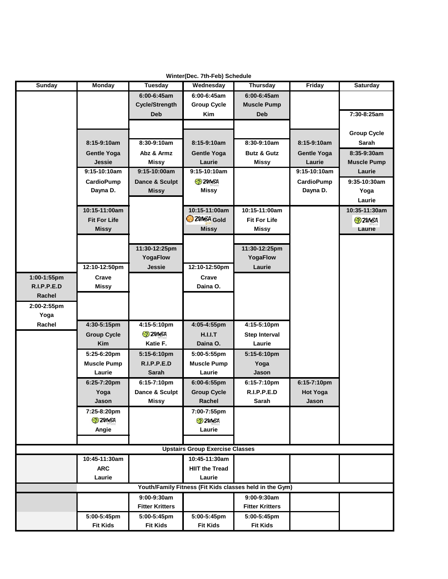| Winter(Dec. 7th-Feb) Schedule |                     |                        |                                        |                                                         |                    |                    |  |
|-------------------------------|---------------------|------------------------|----------------------------------------|---------------------------------------------------------|--------------------|--------------------|--|
| <b>Sunday</b>                 | <b>Monday</b>       | <b>Tuesday</b>         | Wednesday                              | Thursday                                                | Friday             | <b>Saturday</b>    |  |
|                               |                     | 6:00-6:45am            | 6:00-6:45am                            | 6:00-6:45am                                             |                    |                    |  |
|                               |                     | <b>Cycle/Strength</b>  | <b>Group Cycle</b>                     | <b>Muscle Pump</b>                                      |                    |                    |  |
|                               |                     | <b>Deb</b>             | Kim                                    | Deb                                                     |                    | 7:30-8:25am        |  |
|                               |                     |                        |                                        |                                                         |                    |                    |  |
|                               |                     |                        |                                        |                                                         |                    | <b>Group Cycle</b> |  |
|                               | 8:15-9:10am         | 8:30-9:10am            | 8:15-9:10am                            | 8:30-9:10am                                             | 8:15-9:10am        | Sarah              |  |
|                               | <b>Gentle Yoga</b>  | Abz & Armz             | <b>Gentle Yoga</b>                     | <b>Butz &amp; Gutz</b>                                  | <b>Gentle Yoga</b> | 8:35-9:30am        |  |
|                               | <b>Jessie</b>       | <b>Missy</b>           | Laurie                                 | <b>Missy</b>                                            | Laurie             | <b>Muscle Pump</b> |  |
|                               | 9:15-10:10am        | 9:15-10:00am           | 9:15-10:10am                           |                                                         | 9:15-10:10am       | Laurie             |  |
|                               | <b>CardioPump</b>   | Dance & Sculpt         | <b>ED ZUMBA</b>                        |                                                         | <b>CardioPump</b>  | 9:35-10:30am       |  |
|                               | Dayna D.            | <b>Missy</b>           | Missy                                  |                                                         | Dayna D.           | Yoga               |  |
|                               |                     |                        |                                        |                                                         |                    | Laurie             |  |
|                               | 10:15-11:00am       |                        | 10:15-11:00am                          | 10:15-11:00am                                           |                    | 10:35-11:30am      |  |
|                               | <b>Fit For Life</b> |                        | 2VMBA Gold                             | <b>Fit For Life</b>                                     |                    | <b>ED</b> ZUMBA    |  |
|                               | <b>Missy</b>        |                        | <b>Missy</b>                           | <b>Missy</b>                                            |                    | Laurie             |  |
|                               |                     |                        |                                        |                                                         |                    |                    |  |
|                               |                     | 11:30-12:25pm          |                                        | 11:30-12:25pm                                           |                    |                    |  |
|                               |                     | YogaFlow               |                                        | YogaFlow                                                |                    |                    |  |
|                               | 12:10-12:50pm       | Jessie                 | 12:10-12:50pm                          | Laurie                                                  |                    |                    |  |
| 1:00-1:55pm                   | Crave               |                        | Crave                                  |                                                         |                    |                    |  |
| R.I.P.P.E.D                   | Missy               |                        | Daina O.                               |                                                         |                    |                    |  |
| Rachel                        |                     |                        |                                        |                                                         |                    |                    |  |
| 2:00-2:55pm                   |                     |                        |                                        |                                                         |                    |                    |  |
| Yoga                          |                     |                        |                                        |                                                         |                    |                    |  |
| Rachel                        | 4:30-5:15pm         | 4:15-5:10pm            | 4:05-4:55pm                            | 4:15-5:10pm                                             |                    |                    |  |
|                               | <b>Group Cycle</b>  | <b>ED ZUMBA</b>        | H.I.I.T                                | <b>Step Interval</b>                                    |                    |                    |  |
|                               | <b>Kim</b>          | Katie F.               | Daina O.                               | Laurie                                                  |                    |                    |  |
|                               | 5:25-6:20pm         | 5:15-6:10pm            | 5:00-5:55pm                            | 5:15-6:10pm                                             |                    |                    |  |
|                               | <b>Muscle Pump</b>  | R.I.P.P.E.D            | <b>Muscle Pump</b>                     | Yoga                                                    |                    |                    |  |
|                               | Laurie              | <b>Sarah</b>           | Laurie                                 | Jason                                                   |                    |                    |  |
|                               | 6:25-7:20pm         | 6:15-7:10pm            | 6:00-6:55pm                            | 6:15-7:10pm                                             | 6:15-7:10pm        |                    |  |
|                               | Yoga                | Dance & Sculpt         | <b>Group Cycle</b>                     | R.I.P.P.E.D                                             | <b>Hot Yoga</b>    |                    |  |
|                               | Jason               | Missy                  | Rachel                                 | Sarah                                                   | Jason              |                    |  |
|                               | 7:25-8:20pm         |                        | 7:00-7:55pm                            |                                                         |                    |                    |  |
|                               | <b>ED ZUMBA</b>     |                        | <b>ED ZUMBA</b>                        |                                                         |                    |                    |  |
|                               | Angie               |                        | Laurie                                 |                                                         |                    |                    |  |
|                               |                     |                        |                                        |                                                         |                    |                    |  |
|                               |                     |                        | <b>Upstairs Group Exercise Classes</b> |                                                         |                    |                    |  |
|                               | 10:45-11:30am       |                        | 10:45-11:30am                          |                                                         |                    |                    |  |
|                               | <b>ARC</b>          |                        | <b>HIIT the Tread</b>                  |                                                         |                    |                    |  |
|                               | Laurie              |                        | Laurie                                 |                                                         |                    |                    |  |
|                               |                     |                        |                                        | Youth/Family Fitness (Fit Kids classes held in the Gym) |                    |                    |  |
|                               |                     | 9:00-9:30am            |                                        | 9:00-9:30am                                             |                    |                    |  |
|                               |                     | <b>Fitter Kritters</b> |                                        | <b>Fitter Kritters</b>                                  |                    |                    |  |
|                               | 5:00-5:45pm         | 5:00-5:45pm            | 5:00-5:45pm                            | 5:00-5:45pm                                             |                    |                    |  |
|                               | <b>Fit Kids</b>     | <b>Fit Kids</b>        | <b>Fit Kids</b>                        | <b>Fit Kids</b>                                         |                    |                    |  |